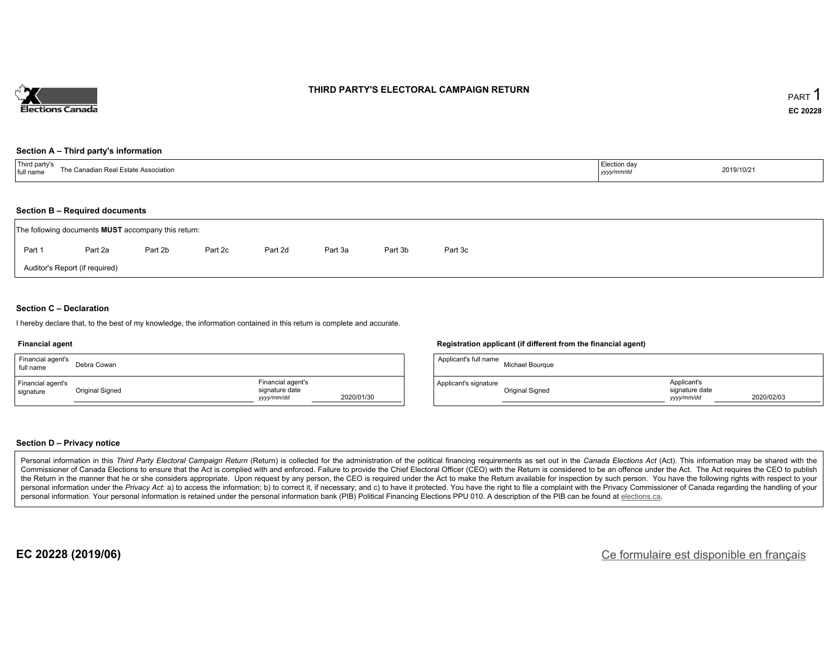

### **THIRD PARTY'S ELECTORAL CAMPAIGN RETURN**

#### **Section A – Third party's information**

| $\mathsf{T}$ hird narty s<br>Con-<br>$\mathsf{S}$<br>te Association<br>ΓhΩ<br>state<br>full name<br>11.77 | Election day<br>уууулттус | 2019/10/21 |
|-----------------------------------------------------------------------------------------------------------|---------------------------|------------|
|-----------------------------------------------------------------------------------------------------------|---------------------------|------------|

#### **Section B – Required documents**

|                                | The following documents <b>MUST</b> accompany this return: |         |         |         |         |         |         |  |  |  |  |  |  |
|--------------------------------|------------------------------------------------------------|---------|---------|---------|---------|---------|---------|--|--|--|--|--|--|
| Part 1                         | Part 2a                                                    | Part 2b | Part 2c | Part 2d | Part 3a | Part 3b | Part 3c |  |  |  |  |  |  |
| Auditor's Report (if required) |                                                            |         |         |         |         |         |         |  |  |  |  |  |  |

### **Section C – Declaration**

I hereby declare that, to the best of my knowledge, the information contained in this return is complete and accurate.

#### **Financial agent**

| Financial agent's<br>full name | Debra Cowan     |                                                   |            |
|--------------------------------|-----------------|---------------------------------------------------|------------|
| Financial agent's<br>signature | Original Signed | Financial agent's<br>signature date<br>yyyy/mm/dd | 2020/01/30 |

#### **Registration applicant (if different from the financial agent)**

| Applicant's full name | Michael Bourgue |                                             |            |
|-----------------------|-----------------|---------------------------------------------|------------|
| Applicant's signature | Original Signed | Applicant's<br>signature date<br>yyyy/mm/dd | 2020/02/03 |

### **Section D – Privacy notice**

Personal information in this Third Party Electoral Campaign Return (Return) is collected for the administration of the political financing requirements as set out in the Canada Elections Act (Act). This information may be Commissioner of Canada Elections to ensure that the Act is complied with and enforced. Failure to provide the Chief Electoral Officer (CEO) with the Return is considered to be an offence under the Act. The Act requires the the Return in the manner that he or she considers appropriate. Upon request by any person, the CEO is required under the Act to make the Return available for inspection by such person. You have the following rights with re personal information under the Privacy Act. a) to access the information; b) to correct it, if necessary; and c) to have it protected. You have the right to file a complaint with the Privacy Commissioner of Canada regardin personal information. Your personal information is retained under the personal information bank (PIB) Political Financing Elections PPU 010. A description of the PIB can be found at elections.ca.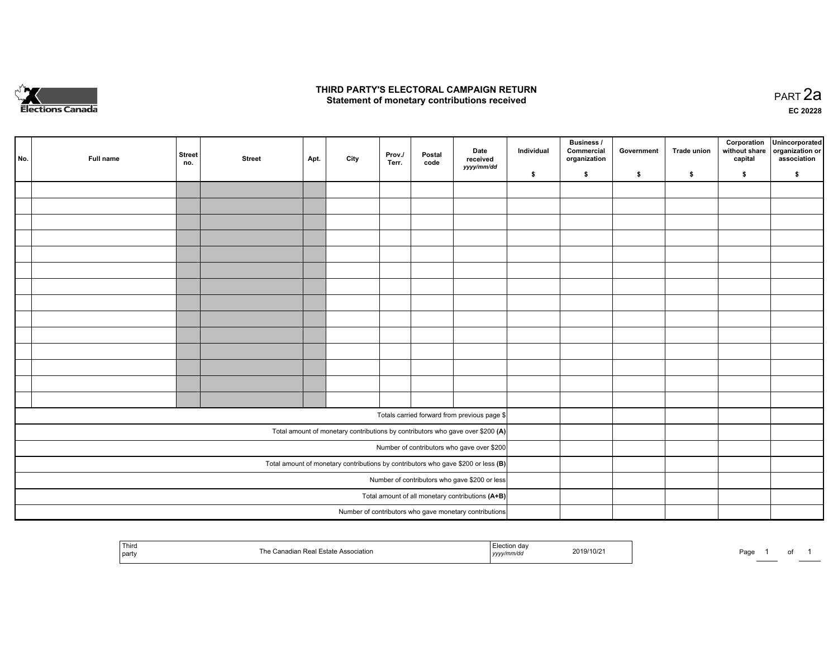

### **THIRD PARTY'S ELECTORAL CAMPAIGN RETURN HIRD PARTY'S ELECTORAL CAMPAIGN RETURN<br>Statement of monetary contributions received PART 2a PART 2a**

**EC 20228**

| No. | Full name | <b>Street</b><br>no. | <b>Street</b> | Apt. | City | Prov./<br>Terr. | Postal<br>code | Date<br>received                                                                    | Individual | <b>Business /</b><br>Commercial<br>organization | Government | Trade union | Corporation<br>without share<br>capital | Unincorporated<br>organization or<br>association |
|-----|-----------|----------------------|---------------|------|------|-----------------|----------------|-------------------------------------------------------------------------------------|------------|-------------------------------------------------|------------|-------------|-----------------------------------------|--------------------------------------------------|
|     |           |                      |               |      |      |                 |                | yyyy/mm/dd                                                                          | \$         | \$                                              | \$         | \$          | \$                                      | \$                                               |
|     |           |                      |               |      |      |                 |                |                                                                                     |            |                                                 |            |             |                                         |                                                  |
|     |           |                      |               |      |      |                 |                |                                                                                     |            |                                                 |            |             |                                         |                                                  |
|     |           |                      |               |      |      |                 |                |                                                                                     |            |                                                 |            |             |                                         |                                                  |
|     |           |                      |               |      |      |                 |                |                                                                                     |            |                                                 |            |             |                                         |                                                  |
|     |           |                      |               |      |      |                 |                |                                                                                     |            |                                                 |            |             |                                         |                                                  |
|     |           |                      |               |      |      |                 |                |                                                                                     |            |                                                 |            |             |                                         |                                                  |
|     |           |                      |               |      |      |                 |                |                                                                                     |            |                                                 |            |             |                                         |                                                  |
|     |           |                      |               |      |      |                 |                |                                                                                     |            |                                                 |            |             |                                         |                                                  |
|     |           |                      |               |      |      |                 |                |                                                                                     |            |                                                 |            |             |                                         |                                                  |
|     |           |                      |               |      |      |                 |                |                                                                                     |            |                                                 |            |             |                                         |                                                  |
|     |           |                      |               |      |      |                 |                |                                                                                     |            |                                                 |            |             |                                         |                                                  |
|     |           |                      |               |      |      |                 |                |                                                                                     |            |                                                 |            |             |                                         |                                                  |
|     |           |                      |               |      |      |                 |                |                                                                                     |            |                                                 |            |             |                                         |                                                  |
|     |           |                      |               |      |      |                 |                |                                                                                     |            |                                                 |            |             |                                         |                                                  |
|     |           |                      |               |      |      |                 |                | Totals carried forward from previous page \$                                        |            |                                                 |            |             |                                         |                                                  |
|     |           |                      |               |      |      |                 |                | Total amount of monetary contributions by contributors who gave over \$200 (A)      |            |                                                 |            |             |                                         |                                                  |
|     |           |                      |               |      |      |                 |                | Number of contributors who gave over \$200                                          |            |                                                 |            |             |                                         |                                                  |
|     |           |                      |               |      |      |                 |                | Total amount of monetary contributions by contributors who gave \$200 or less $(B)$ |            |                                                 |            |             |                                         |                                                  |
|     |           |                      |               |      |      |                 |                | Number of contributors who gave \$200 or less                                       |            |                                                 |            |             |                                         |                                                  |
|     |           |                      |               |      |      |                 |                | Total amount of all monetary contributions (A+B)                                    |            |                                                 |            |             |                                         |                                                  |
|     |           |                      |               |      |      |                 |                | Number of contributors who gave monetary contributions                              |            |                                                 |            |             |                                         |                                                  |

| ' Third<br>party | ASSO<br>,,,,,, | ,,,,, | 2019/10/2 | Page. |  |  |  |
|------------------|----------------|-------|-----------|-------|--|--|--|
|------------------|----------------|-------|-----------|-------|--|--|--|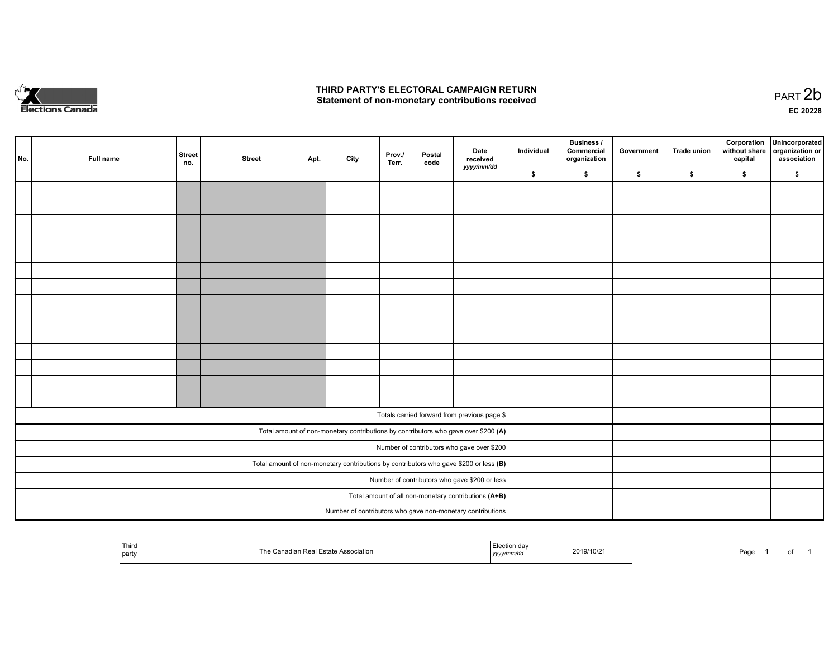

## **THIRD PARTY'S ELECTORAL CAMPAIGN RETURN**  THIRD PARTY'S ELECTORAL CAMPAIGN RETURN<br>Statement of non-monetary contributions received

| No. | Full name                                                                               | <b>Street</b><br>no. | <b>Street</b> | Apt. | City | Prov./<br>Terr. | Postal<br>code | Date<br>received<br>yyyy/mm/dd                                                     | Individual | <b>Business /</b><br>Commercial<br>organization | Government | Trade union | capital | Corporation Unincorporated<br>without share organization or<br>association |
|-----|-----------------------------------------------------------------------------------------|----------------------|---------------|------|------|-----------------|----------------|------------------------------------------------------------------------------------|------------|-------------------------------------------------|------------|-------------|---------|----------------------------------------------------------------------------|
|     |                                                                                         |                      |               |      |      |                 |                |                                                                                    | \$         | \$                                              | \$         | \$          | \$      | \$                                                                         |
|     |                                                                                         |                      |               |      |      |                 |                |                                                                                    |            |                                                 |            |             |         |                                                                            |
|     |                                                                                         |                      |               |      |      |                 |                |                                                                                    |            |                                                 |            |             |         |                                                                            |
|     |                                                                                         |                      |               |      |      |                 |                |                                                                                    |            |                                                 |            |             |         |                                                                            |
|     |                                                                                         |                      |               |      |      |                 |                |                                                                                    |            |                                                 |            |             |         |                                                                            |
|     |                                                                                         |                      |               |      |      |                 |                |                                                                                    |            |                                                 |            |             |         |                                                                            |
|     |                                                                                         |                      |               |      |      |                 |                |                                                                                    |            |                                                 |            |             |         |                                                                            |
|     |                                                                                         |                      |               |      |      |                 |                |                                                                                    |            |                                                 |            |             |         |                                                                            |
|     |                                                                                         |                      |               |      |      |                 |                |                                                                                    |            |                                                 |            |             |         |                                                                            |
|     |                                                                                         |                      |               |      |      |                 |                |                                                                                    |            |                                                 |            |             |         |                                                                            |
|     |                                                                                         |                      |               |      |      |                 |                |                                                                                    |            |                                                 |            |             |         |                                                                            |
|     |                                                                                         |                      |               |      |      |                 |                |                                                                                    |            |                                                 |            |             |         |                                                                            |
|     |                                                                                         |                      |               |      |      |                 |                |                                                                                    |            |                                                 |            |             |         |                                                                            |
|     |                                                                                         |                      |               |      |      |                 |                |                                                                                    |            |                                                 |            |             |         |                                                                            |
|     |                                                                                         |                      |               |      |      |                 |                |                                                                                    |            |                                                 |            |             |         |                                                                            |
|     |                                                                                         |                      |               |      |      |                 |                | Totals carried forward from previous page \$                                       |            |                                                 |            |             |         |                                                                            |
|     |                                                                                         |                      |               |      |      |                 |                |                                                                                    |            |                                                 |            |             |         |                                                                            |
|     |                                                                                         |                      |               |      |      |                 |                | Total amount of non-monetary contributions by contributors who gave over \$200 (A) |            |                                                 |            |             |         |                                                                            |
|     | Number of contributors who gave over \$200                                              |                      |               |      |      |                 |                |                                                                                    |            |                                                 |            |             |         |                                                                            |
|     | Total amount of non-monetary contributions by contributors who gave \$200 or less $(B)$ |                      |               |      |      |                 |                |                                                                                    |            |                                                 |            |             |         |                                                                            |
|     | Number of contributors who gave \$200 or less                                           |                      |               |      |      |                 |                |                                                                                    |            |                                                 |            |             |         |                                                                            |
|     | Total amount of all non-monetary contributions (A+B)                                    |                      |               |      |      |                 |                |                                                                                    |            |                                                 |            |             |         |                                                                            |
|     |                                                                                         |                      |               |      |      |                 |                | Number of contributors who gave non-monetary contributions                         |            |                                                 |            |             |         |                                                                            |

| i nir<br>part | The<br>. . | 10/2<br>. | Page |
|---------------|------------|-----------|------|
|---------------|------------|-----------|------|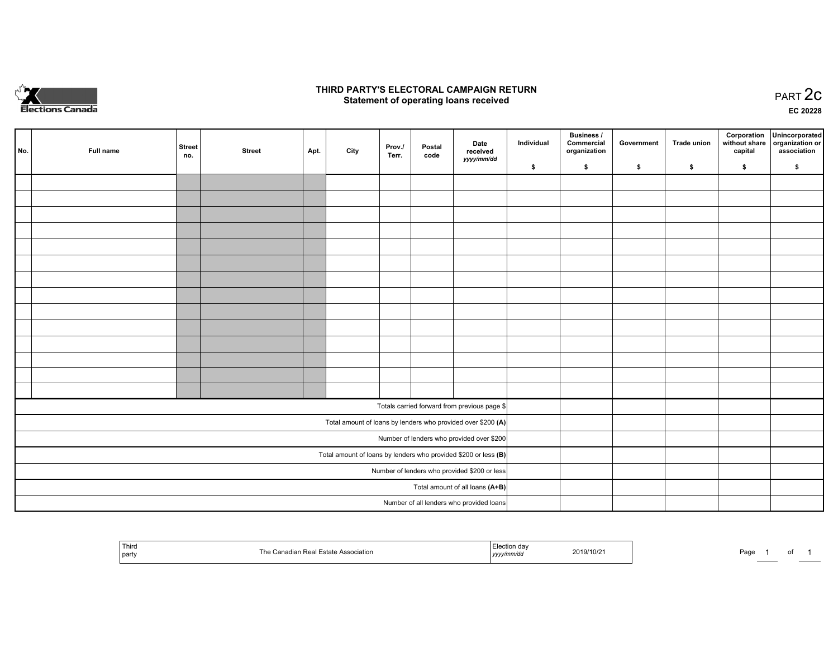

## **THIRD PARTY'S ELECTORAL CAMPAIGN RETURN STATE:** PRACT OF OPPRESS TO PART 2C STATE STATE STATE STATE STATE STATE STATE STATE STATE STATE STATE STATE STA<br>PART 2C Statement of operating loans received

**EC 20228**

| No.                                                               | Full name | <b>Street</b><br>no. | <b>Street</b> | Apt. | City | Prov./<br>Terr. | Postal<br>code | Date<br>received                                             | Individual | <b>Business /</b><br>Commercial<br>organization | Government | Trade union | Corporation<br>capital | Unincorporated<br>without share organization or<br>association |
|-------------------------------------------------------------------|-----------|----------------------|---------------|------|------|-----------------|----------------|--------------------------------------------------------------|------------|-------------------------------------------------|------------|-------------|------------------------|----------------------------------------------------------------|
|                                                                   |           |                      |               |      |      |                 |                | yyyy/mm/dd                                                   | \$         | \$                                              | \$         | \$          | \$                     | \$                                                             |
|                                                                   |           |                      |               |      |      |                 |                |                                                              |            |                                                 |            |             |                        |                                                                |
|                                                                   |           |                      |               |      |      |                 |                |                                                              |            |                                                 |            |             |                        |                                                                |
|                                                                   |           |                      |               |      |      |                 |                |                                                              |            |                                                 |            |             |                        |                                                                |
|                                                                   |           |                      |               |      |      |                 |                |                                                              |            |                                                 |            |             |                        |                                                                |
|                                                                   |           |                      |               |      |      |                 |                |                                                              |            |                                                 |            |             |                        |                                                                |
|                                                                   |           |                      |               |      |      |                 |                |                                                              |            |                                                 |            |             |                        |                                                                |
|                                                                   |           |                      |               |      |      |                 |                |                                                              |            |                                                 |            |             |                        |                                                                |
|                                                                   |           |                      |               |      |      |                 |                |                                                              |            |                                                 |            |             |                        |                                                                |
|                                                                   |           |                      |               |      |      |                 |                |                                                              |            |                                                 |            |             |                        |                                                                |
|                                                                   |           |                      |               |      |      |                 |                |                                                              |            |                                                 |            |             |                        |                                                                |
|                                                                   |           |                      |               |      |      |                 |                |                                                              |            |                                                 |            |             |                        |                                                                |
|                                                                   |           |                      |               |      |      |                 |                |                                                              |            |                                                 |            |             |                        |                                                                |
|                                                                   |           |                      |               |      |      |                 |                |                                                              |            |                                                 |            |             |                        |                                                                |
|                                                                   |           |                      |               |      |      |                 |                |                                                              |            |                                                 |            |             |                        |                                                                |
|                                                                   |           |                      |               |      |      |                 |                | Totals carried forward from previous page \$                 |            |                                                 |            |             |                        |                                                                |
|                                                                   |           |                      |               |      |      |                 |                | Total amount of loans by lenders who provided over \$200 (A) |            |                                                 |            |             |                        |                                                                |
|                                                                   |           |                      |               |      |      |                 |                | Number of lenders who provided over \$200                    |            |                                                 |            |             |                        |                                                                |
| Total amount of loans by lenders who provided \$200 or less $(B)$ |           |                      |               |      |      |                 |                |                                                              |            |                                                 |            |             |                        |                                                                |
| Number of lenders who provided \$200 or less                      |           |                      |               |      |      |                 |                |                                                              |            |                                                 |            |             |                        |                                                                |
|                                                                   |           |                      |               |      |      |                 |                | Total amount of all loans (A+B)                              |            |                                                 |            |             |                        |                                                                |
|                                                                   |           |                      |               |      |      |                 |                | Number of all lenders who provided loans                     |            |                                                 |            |             |                        |                                                                |

| Third<br>Estate Association<br>' party | 'ection∘<br>019/10/2<br>yyyymm⁄aa | Page |
|----------------------------------------|-----------------------------------|------|
|----------------------------------------|-----------------------------------|------|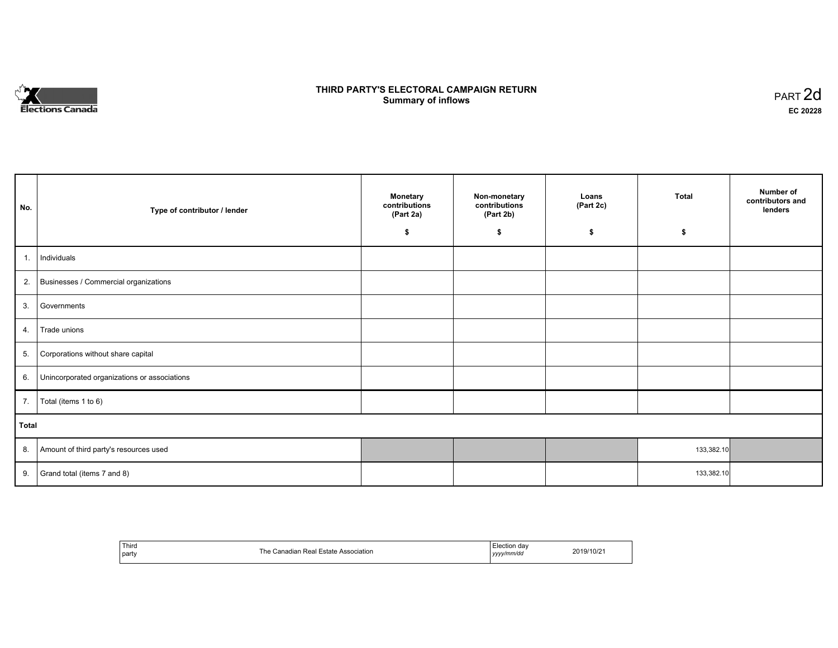

# **THIRD PARTY'S ELECTORAL CAMPAIGN RETURN S** ELECTORAL CAMPAIGN RETURN<br>Summary of inflows PART 2d

| No.   | Type of contributor / lender                 | <b>Monetary</b><br>contributions<br>(Part 2a) | Non-monetary<br>contributions<br>(Part 2b)<br>\$ | Loans<br>(Part 2c)<br>\$ | <b>Total</b><br>\$ | Number of<br>contributors and<br>lenders |
|-------|----------------------------------------------|-----------------------------------------------|--------------------------------------------------|--------------------------|--------------------|------------------------------------------|
|       |                                              | \$                                            |                                                  |                          |                    |                                          |
| 1.    | Individuals                                  |                                               |                                                  |                          |                    |                                          |
|       | 2. Businesses / Commercial organizations     |                                               |                                                  |                          |                    |                                          |
| 3.    | Governments                                  |                                               |                                                  |                          |                    |                                          |
| 4.    | Trade unions                                 |                                               |                                                  |                          |                    |                                          |
| 5.    | Corporations without share capital           |                                               |                                                  |                          |                    |                                          |
| 6.    | Unincorporated organizations or associations |                                               |                                                  |                          |                    |                                          |
| 7.    | Total (items 1 to 6)                         |                                               |                                                  |                          |                    |                                          |
| Total |                                              |                                               |                                                  |                          |                    |                                          |
| 8.    | Amount of third party's resources used       |                                               |                                                  |                          | 133,382.10         |                                          |
| 9.    | Grand total (items 7 and 8)                  |                                               |                                                  |                          | 133,382.10         |                                          |

| Third<br>party | ٦c<br>Association<br>Estate<br>anadian:<br>Real<br>. | Election day<br>y/mm/dd<br>$'$ $1/1/1/1$<br>,,,, | 10/2<br>2019/ |
|----------------|------------------------------------------------------|--------------------------------------------------|---------------|
|----------------|------------------------------------------------------|--------------------------------------------------|---------------|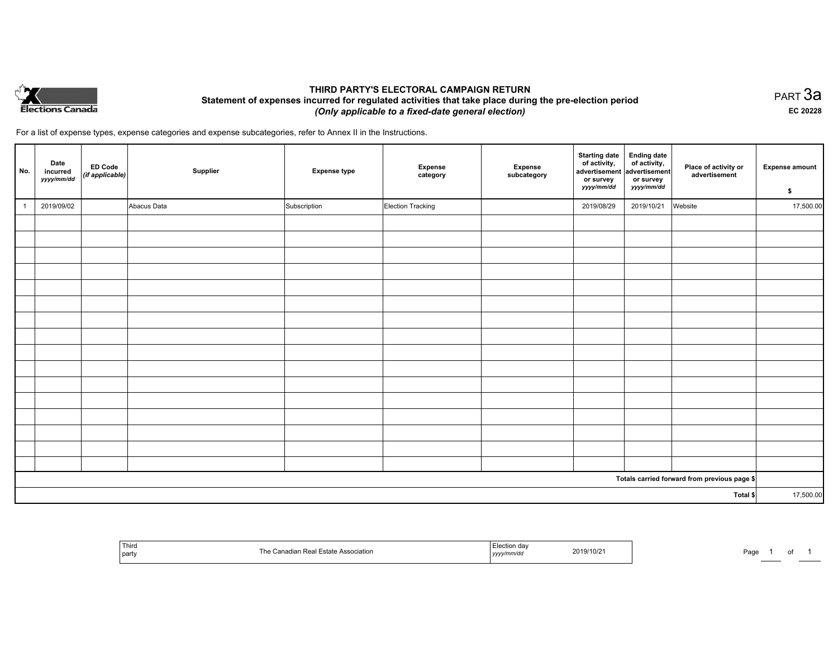

## **THIRD PARTY'S ELECTORAL CAMPAIGN RETURN Statement of expenses incurred for regulated activities that take place during the pre-election period**  *(Only applicable to a fixed-date general election)*

PART 3a **EC 20228**

For a list of expense types, expense categories and expense subcategories, refer to Annex II in the Instructions.

| No.          | Date<br>incurred<br>yyyy/mm/dd | ED Code<br>(if applicable) | Supplier    | <b>Expense type</b> | Expense<br>category | Expense<br>subcategory | <b>Starting date</b><br>of activity,<br>advertisement<br>or survey<br>yyyy/mm/dd | <b>Ending date</b><br>of activity,<br>advertisement<br>or survey<br>yyyy/mm/dd | Place of activity or<br>advertisement        | <b>Expense amount</b><br>\$ |
|--------------|--------------------------------|----------------------------|-------------|---------------------|---------------------|------------------------|----------------------------------------------------------------------------------|--------------------------------------------------------------------------------|----------------------------------------------|-----------------------------|
| $\mathbf{1}$ | 2019/09/02                     |                            | Abacus Data | Subscription        | Election Tracking   |                        | 2019/08/29                                                                       | 2019/10/21                                                                     | Website                                      | 17,500.00                   |
|              |                                |                            |             |                     |                     |                        |                                                                                  |                                                                                |                                              |                             |
|              |                                |                            |             |                     |                     |                        |                                                                                  |                                                                                |                                              |                             |
|              |                                |                            |             |                     |                     |                        |                                                                                  |                                                                                |                                              |                             |
|              |                                |                            |             |                     |                     |                        |                                                                                  |                                                                                |                                              |                             |
|              |                                |                            |             |                     |                     |                        |                                                                                  |                                                                                |                                              |                             |
|              |                                |                            |             |                     |                     |                        |                                                                                  |                                                                                |                                              |                             |
|              |                                |                            |             |                     |                     |                        |                                                                                  |                                                                                |                                              |                             |
|              |                                |                            |             |                     |                     |                        |                                                                                  |                                                                                |                                              |                             |
|              |                                |                            |             |                     |                     |                        |                                                                                  |                                                                                |                                              |                             |
|              |                                |                            |             |                     |                     |                        |                                                                                  |                                                                                |                                              |                             |
|              |                                |                            |             |                     |                     |                        |                                                                                  |                                                                                |                                              |                             |
|              |                                |                            |             |                     |                     |                        |                                                                                  |                                                                                |                                              |                             |
|              |                                |                            |             |                     |                     |                        |                                                                                  |                                                                                |                                              |                             |
|              |                                |                            |             |                     |                     |                        |                                                                                  |                                                                                |                                              |                             |
|              |                                |                            |             |                     |                     |                        |                                                                                  |                                                                                |                                              |                             |
|              |                                |                            |             |                     |                     |                        |                                                                                  |                                                                                |                                              |                             |
|              |                                |                            |             |                     |                     |                        |                                                                                  |                                                                                | Totals carried forward from previous page \$ |                             |
| Total \$     |                                |                            |             |                     |                     | 17,500.00              |                                                                                  |                                                                                |                                              |                             |

| .<br>Third<br><sub>i</sub> party | l he<br>612 L | ZU 19.<br>. | ∍∼מ<br>צוטוי<br>'du |  |  |
|----------------------------------|---------------|-------------|---------------------|--|--|
|----------------------------------|---------------|-------------|---------------------|--|--|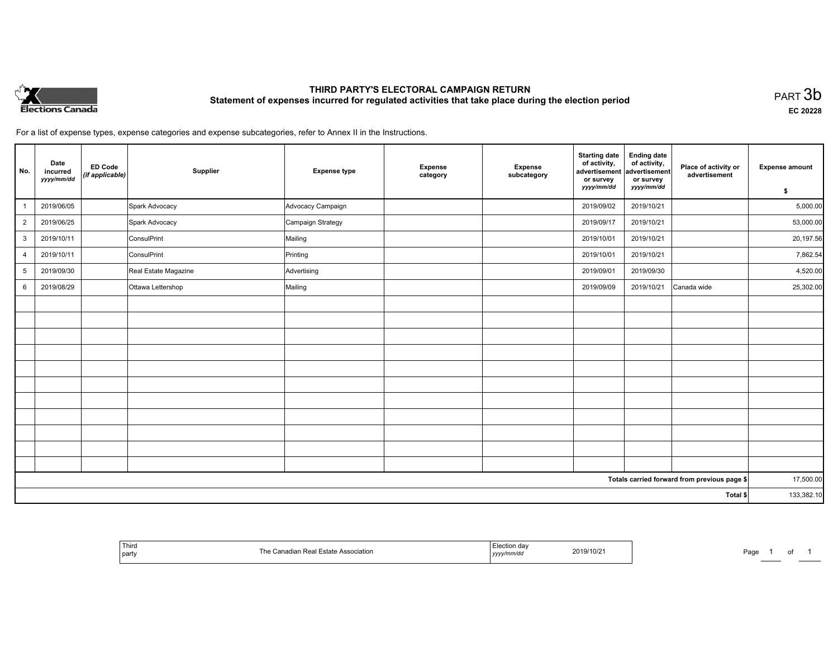

# **THIRD PARTY'S ELECTORAL CAMPAIGN RETURN Statement of expenses incurred for regulated activities that take place during the election period**<br>PART  $3\mathsf{b}$

**EC 20228**

For a list of expense types, expense categories and expense subcategories, refer to Annex II in the Instructions.

| No.            | Date<br>incurred<br>yyyy/mm/dd | <b>ED Code</b><br>(if applicable) | Supplier             | <b>Expense type</b> | Expense<br>category | Expense<br>subcategory | <b>Starting date</b><br>of activity,<br>advertisement<br>or survey | <b>Ending date</b><br>of activity,<br>advertisement<br>or survey | Place of activity or<br>advertisement        | <b>Expense amount</b> |
|----------------|--------------------------------|-----------------------------------|----------------------|---------------------|---------------------|------------------------|--------------------------------------------------------------------|------------------------------------------------------------------|----------------------------------------------|-----------------------|
|                |                                |                                   |                      |                     |                     |                        | yyyy/mm/dd                                                         | yyyy/mm/dd                                                       |                                              | \$                    |
|                | 2019/06/05                     |                                   | Spark Advocacy       | Advocacy Campaign   |                     |                        | 2019/09/02                                                         | 2019/10/21                                                       |                                              | 5,000.00              |
| $\overline{a}$ | 2019/06/25                     |                                   | Spark Advocacy       | Campaign Strategy   |                     |                        | 2019/09/17                                                         | 2019/10/21                                                       |                                              | 53,000.00             |
| 3              | 2019/10/11                     |                                   | ConsulPrint          | Mailing             |                     |                        | 2019/10/01                                                         | 2019/10/21                                                       |                                              | 20,197.56             |
| $\overline{4}$ | 2019/10/11                     |                                   | ConsulPrint          | Printing            |                     |                        | 2019/10/01                                                         | 2019/10/21                                                       |                                              | 7,862.54              |
| 5              | 2019/09/30                     |                                   | Real Estate Magazine | Advertising         |                     |                        | 2019/09/01                                                         | 2019/09/30                                                       |                                              | 4,520.00              |
| 6              | 2019/08/29                     |                                   | Ottawa Lettershop    | Mailing             |                     |                        | 2019/09/09                                                         | 2019/10/21                                                       | Canada wide                                  | 25,302.00             |
|                |                                |                                   |                      |                     |                     |                        |                                                                    |                                                                  |                                              |                       |
|                |                                |                                   |                      |                     |                     |                        |                                                                    |                                                                  |                                              |                       |
|                |                                |                                   |                      |                     |                     |                        |                                                                    |                                                                  |                                              |                       |
|                |                                |                                   |                      |                     |                     |                        |                                                                    |                                                                  |                                              |                       |
|                |                                |                                   |                      |                     |                     |                        |                                                                    |                                                                  |                                              |                       |
|                |                                |                                   |                      |                     |                     |                        |                                                                    |                                                                  |                                              |                       |
|                |                                |                                   |                      |                     |                     |                        |                                                                    |                                                                  |                                              |                       |
|                |                                |                                   |                      |                     |                     |                        |                                                                    |                                                                  |                                              |                       |
|                |                                |                                   |                      |                     |                     |                        |                                                                    |                                                                  |                                              |                       |
|                |                                |                                   |                      |                     |                     |                        |                                                                    |                                                                  |                                              |                       |
|                |                                |                                   |                      |                     |                     |                        |                                                                    |                                                                  |                                              |                       |
|                |                                |                                   |                      |                     |                     |                        |                                                                    |                                                                  | Totals carried forward from previous page \$ | 17,500.00             |
| Total \$       |                                |                                   |                      |                     |                     |                        | 133,382.10                                                         |                                                                  |                                              |                       |

| <sup>'</sup> Third<br>Association<br>an Rea<br>'h≏<br>l party | ua<br>10/z<br>20 I J<br>.nm/ao<br>,,,,, | Page<br>of |
|---------------------------------------------------------------|-----------------------------------------|------------|
|---------------------------------------------------------------|-----------------------------------------|------------|